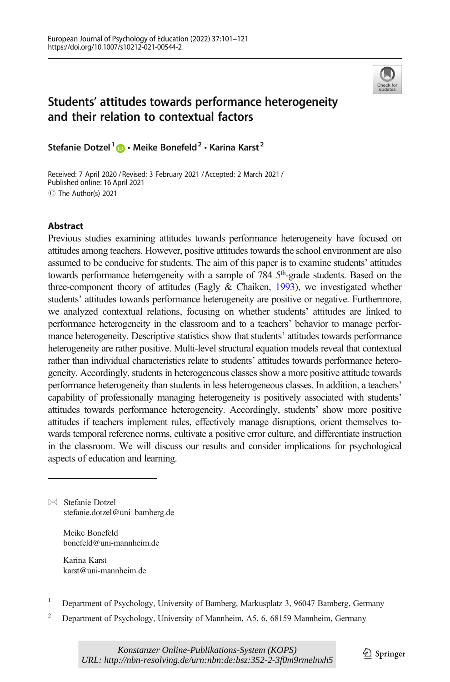

# Students' attitudes towards performance heterogeneity and their relation to contextual factors

Stefanie Dotzel<sup>1</sup>  $\bigcirc$  · Meike Bonefeld<sup>2</sup> · Karina Karst<sup>2</sup>

Received: 7 April 2020 /Revised: 3 February 2021 /Accepted: 2 March 2021 / C The Author(s) 2021 Published online: 16 April 2021

## **Abstract**

Previous studies examining attitudes towards performance heterogeneity have focused on attitudes among teachers. However, positive attitudes towards the school environment are also assumed to be conducive for students. The aim of this paper is to examine students' attitudes towards performance heterogeneity with a sample of 784 5<sup>th</sup>-grade students. Based on the three-component theory of attitudes (Eagly & Chaiken, [1993](#page-17-0)), we investigated whether students' attitudes towards performance heterogeneity are positive or negative. Furthermore, we analyzed contextual relations, focusing on whether students' attitudes are linked to performance heterogeneity in the classroom and to a teachers' behavior to manage performance heterogeneity. Descriptive statistics show that students' attitudes towards performance heterogeneity are rather positive. Multi-level structural equation models reveal that contextual rather than individual characteristics relate to students' attitudes towards performance heterogeneity. Accordingly, students in heterogeneous classes show a more positive attitude towards performance heterogeneity than students in less heterogeneous classes. In addition, a teachers' capability of professionally managing heterogeneity is positively associated with students' attitudes towards performance heterogeneity. Accordingly, students' show more positive attitudes if teachers implement rules, effectively manage disruptions, orient themselves towards temporal reference norms, cultivate a positive error culture, and differentiate instruction in the classroom. We will discuss our results and consider implications for psychological aspects of education and learning.

 $\boxtimes$  Stefanie Dotzel [stefanie.dotzel@uni](mailto:stefanie.dotzel@uni-bamberg.de)–bamberg.de

> Meike Bonefeld bonefeld@uni-mannheim.de

Karina Karst karst@uni-mannheim.de

- <sup>1</sup> Department of Psychology, University of Bamberg, Markusplatz 3, 96047 Bamberg, Germany
- <sup>2</sup> Department of Psychology, University of Mannheim, A5, 6, 68159 Mannheim, Germany

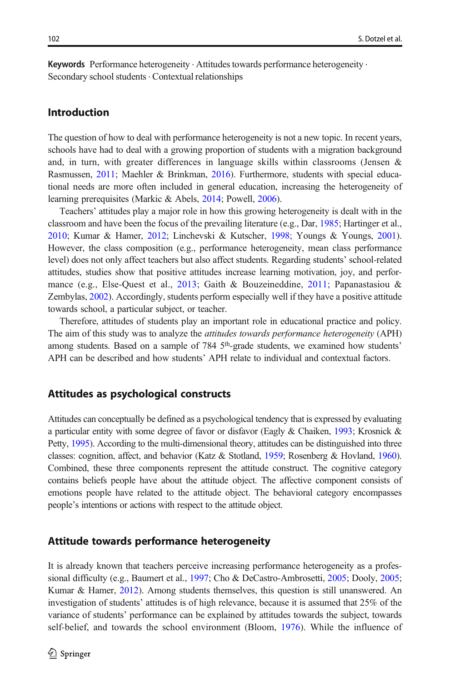Keywords Performance heterogeneity · Attitudes towards performance heterogeneity · Secondary school students  $\cdot$  Contextual relationships

### Introduction

The question of how to deal with performance heterogeneity is not a new topic. In recent years, schools have had to deal with a growing proportion of students with a migration background and, in turn, with greater differences in language skills within classrooms (Jensen & Rasmussen, [2011;](#page-18-0) Maehler & Brinkman, [2016](#page-18-0)). Furthermore, students with special educational needs are more often included in general education, increasing the heterogeneity of learning prerequisites (Markic & Abels, [2014;](#page-18-0) Powell, [2006](#page-19-0)).

Teachers' attitudes play a major role in how this growing heterogeneity is dealt with in the classroom and have been the focus of the prevailing literature (e.g., Dar, [1985;](#page-17-0) Hartinger et al., [2010](#page-17-0); Kumar & Hamer, [2012](#page-18-0); Linchevski & Kutscher, [1998;](#page-18-0) Youngs & Youngs, [2001](#page-20-0)). However, the class composition (e.g., performance heterogeneity, mean class performance level) does not only affect teachers but also affect students. Regarding students' school-related attitudes, studies show that positive attitudes increase learning motivation, joy, and performance (e.g., Else-Quest et al., [2013](#page-17-0); Gaith & Bouzeineddine, [2011;](#page-17-0) Papanastasiou & Zembylas, [2002\)](#page-19-0). Accordingly, students perform especially well if they have a positive attitude towards school, a particular subject, or teacher.

Therefore, attitudes of students play an important role in educational practice and policy. The aim of this study was to analyze the *attitudes towards performance heterogeneity* (APH) among students. Based on a sample of 784 5<sup>th</sup>-grade students, we examined how students' APH can be described and how students' APH relate to individual and contextual factors.

### Attitudes as psychological constructs

Attitudes can conceptually be defined as a psychological tendency that is expressed by evaluating a particular entity with some degree of favor or disfavor (Eagly & Chaiken, [1993](#page-17-0); Krosnick & Petty, [1995\)](#page-18-0). According to the multi-dimensional theory, attitudes can be distinguished into three classes: cognition, affect, and behavior (Katz & Stotland, [1959](#page-18-0); Rosenberg & Hovland, [1960](#page-19-0)). Combined, these three components represent the attitude construct. The cognitive category contains beliefs people have about the attitude object. The affective component consists of emotions people have related to the attitude object. The behavioral category encompasses people's intentions or actions with respect to the attitude object.

### Attitude towards performance heterogeneity

It is already known that teachers perceive increasing performance heterogeneity as a professional difficulty (e.g., Baumert et al., [1997;](#page-16-0) Cho & DeCastro-Ambrosetti, [2005;](#page-17-0) Dooly, [2005](#page-17-0); Kumar & Hamer, [2012](#page-18-0)). Among students themselves, this question is still unanswered. An investigation of students' attitudes is of high relevance, because it is assumed that 25% of the variance of students' performance can be explained by attitudes towards the subject, towards self-belief, and towards the school environment (Bloom, [1976](#page-16-0)). While the influence of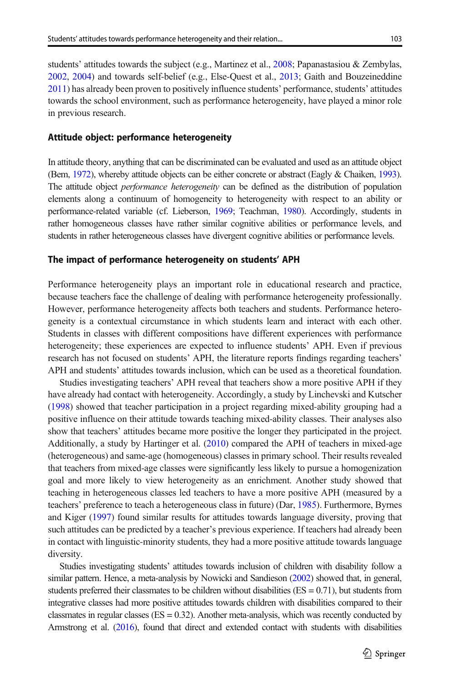students' attitudes towards the subject (e.g., Martinez et al., [2008](#page-18-0); Papanastasiou & Zembylas, [2002](#page-19-0), [2004](#page-19-0)) and towards self-belief (e.g., Else-Quest et al., [2013;](#page-17-0) Gaith and Bouzeineddine [2011](#page-17-0)) has already been proven to positively influence students' performance, students' attitudes towards the school environment, such as performance heterogeneity, have played a minor role in previous research.

### Attitude object: performance heterogeneity

In attitude theory, anything that can be discriminated can be evaluated and used as an attitude object (Bem, [1972\)](#page-16-0), whereby attitude objects can be either concrete or abstract (Eagly & Chaiken, [1993](#page-17-0)). The attitude object *performance heterogeneity* can be defined as the distribution of population elements along a continuum of homogeneity to heterogeneity with respect to an ability or performance-related variable (cf. Lieberson, [1969](#page-18-0); Teachman, [1980](#page-20-0)). Accordingly, students in rather homogeneous classes have rather similar cognitive abilities or performance levels, and students in rather heterogeneous classes have divergent cognitive abilities or performance levels.

### The impact of performance heterogeneity on students' APH

Performance heterogeneity plays an important role in educational research and practice, because teachers face the challenge of dealing with performance heterogeneity professionally. However, performance heterogeneity affects both teachers and students. Performance heterogeneity is a contextual circumstance in which students learn and interact with each other. Students in classes with different compositions have different experiences with performance heterogeneity; these experiences are expected to influence students' APH. Even if previous research has not focused on students' APH, the literature reports findings regarding teachers' APH and students' attitudes towards inclusion, which can be used as a theoretical foundation.

Studies investigating teachers' APH reveal that teachers show a more positive APH if they have already had contact with heterogeneity. Accordingly, a study by Linchevski and Kutscher ([1998](#page-18-0)) showed that teacher participation in a project regarding mixed-ability grouping had a positive influence on their attitude towards teaching mixed-ability classes. Their analyses also show that teachers' attitudes became more positive the longer they participated in the project. Additionally, a study by Hartinger et al. ([2010](#page-17-0)) compared the APH of teachers in mixed-age (heterogeneous) and same-age (homogeneous) classes in primary school. Their results revealed that teachers from mixed-age classes were significantly less likely to pursue a homogenization goal and more likely to view heterogeneity as an enrichment. Another study showed that teaching in heterogeneous classes led teachers to have a more positive APH (measured by a teachers' preference to teach a heterogeneous class in future) (Dar, [1985](#page-17-0)). Furthermore, Byrnes and Kiger [\(1997\)](#page-17-0) found similar results for attitudes towards language diversity, proving that such attitudes can be predicted by a teacher's previous experience. If teachers had already been in contact with linguistic-minority students, they had a more positive attitude towards language diversity.

Studies investigating students' attitudes towards inclusion of children with disability follow a similar pattern. Hence, a meta-analysis by Nowicki and Sandieson ([2002](#page-19-0)) showed that, in general, students preferred their classmates to be children without disabilities  $(ES = 0.71)$ , but students from integrative classes had more positive attitudes towards children with disabilities compared to their classmates in regular classes ( $ES = 0.32$ ). Another meta-analysis, which was recently conducted by Armstrong et al. [\(2016](#page-16-0)), found that direct and extended contact with students with disabilities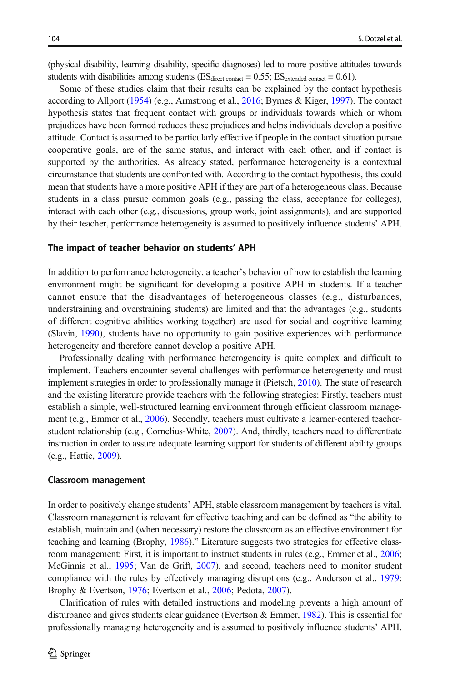(physical disability, learning disability, specific diagnoses) led to more positive attitudes towards students with disabilities among students ( $ES<sub>direct contact</sub> = 0.55$ ;  $ES<sub>extended contact</sub> = 0.61$ ).

Some of these studies claim that their results can be explained by the contact hypothesis according to Allport ([1954](#page-16-0)) (e.g., Armstrong et al., [2016;](#page-16-0) Byrnes & Kiger, [1997\)](#page-17-0). The contact hypothesis states that frequent contact with groups or individuals towards which or whom prejudices have been formed reduces these prejudices and helps individuals develop a positive attitude. Contact is assumed to be particularly effective if people in the contact situation pursue cooperative goals, are of the same status, and interact with each other, and if contact is supported by the authorities. As already stated, performance heterogeneity is a contextual circumstance that students are confronted with. According to the contact hypothesis, this could mean that students have a more positive APH if they are part of a heterogeneous class. Because students in a class pursue common goals (e.g., passing the class, acceptance for colleges), interact with each other (e.g., discussions, group work, joint assignments), and are supported by their teacher, performance heterogeneity is assumed to positively influence students' APH.

#### The impact of teacher behavior on students' APH

In addition to performance heterogeneity, a teacher's behavior of how to establish the learning environment might be significant for developing a positive APH in students. If a teacher cannot ensure that the disadvantages of heterogeneous classes (e.g., disturbances, understraining and overstraining students) are limited and that the advantages (e.g., students of different cognitive abilities working together) are used for social and cognitive learning (Slavin, [1990](#page-20-0)), students have no opportunity to gain positive experiences with performance heterogeneity and therefore cannot develop a positive APH.

Professionally dealing with performance heterogeneity is quite complex and difficult to implement. Teachers encounter several challenges with performance heterogeneity and must implement strategies in order to professionally manage it (Pietsch, [2010](#page-19-0)). The state of research and the existing literature provide teachers with the following strategies: Firstly, teachers must establish a simple, well-structured learning environment through efficient classroom manage-ment (e.g., Emmer et al., [2006](#page-17-0)). Secondly, teachers must cultivate a learner-centered teacherstudent relationship (e.g., Cornelius-White, [2007](#page-17-0)). And, thirdly, teachers need to differentiate instruction in order to assure adequate learning support for students of different ability groups (e.g., Hattie, [2009\)](#page-18-0).

#### Classroom management

In order to positively change students' APH, stable classroom management by teachers is vital. Classroom management is relevant for effective teaching and can be defined as "the ability to establish, maintain and (when necessary) restore the classroom as an effective environment for teaching and learning (Brophy, [1986](#page-16-0))." Literature suggests two strategies for effective classroom management: First, it is important to instruct students in rules (e.g., Emmer et al., [2006](#page-17-0); McGinnis et al., [1995;](#page-19-0) Van de Grift, [2007\)](#page-20-0), and second, teachers need to monitor student compliance with the rules by effectively managing disruptions (e.g., Anderson et al., [1979](#page-16-0); Brophy & Evertson, [1976](#page-17-0); Evertson et al., [2006;](#page-17-0) Pedota, [2007\)](#page-19-0).

Clarification of rules with detailed instructions and modeling prevents a high amount of disturbance and gives students clear guidance (Evertson & Emmer, [1982\)](#page-17-0). This is essential for professionally managing heterogeneity and is assumed to positively influence students' APH.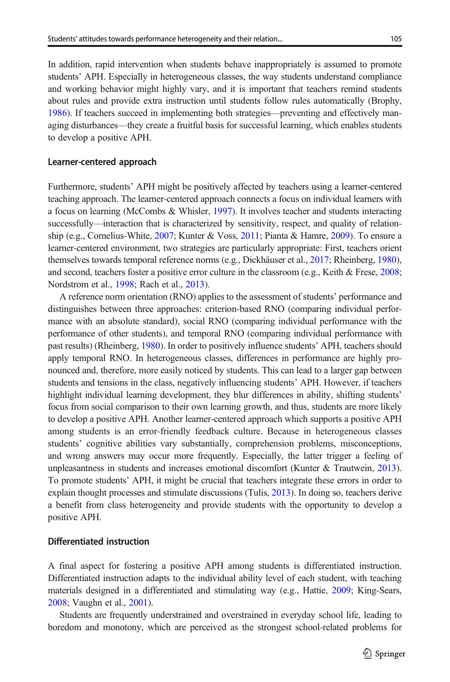In addition, rapid intervention when students behave inappropriately is assumed to promote students' APH. Especially in heterogeneous classes, the way students understand compliance and working behavior might highly vary, and it is important that teachers remind students about rules and provide extra instruction until students follow rules automatically (Brophy, [1986](#page-16-0)). If teachers succeed in implementing both strategies—preventing and effectively managing disturbances—they create a fruitful basis for successful learning, which enables students to develop a positive APH.

#### Learner-centered approach

Furthermore, students' APH might be positively affected by teachers using a learner-centered teaching approach. The learner-centered approach connects a focus on individual learners with a focus on learning (McCombs & Whisler, [1997\)](#page-18-0). It involves teacher and students interacting successfully—interaction that is characterized by sensitivity, respect, and quality of relationship (e.g., Cornelius-White, [2007;](#page-17-0) Kunter & Voss, [2011;](#page-18-0) Pianta & Hamre, [2009\)](#page-19-0). To ensure a learner-centered environment, two strategies are particularly appropriate: First, teachers orient themselves towards temporal reference norms (e.g., Dickhäuser et al., [2017](#page-17-0); Rheinberg, [1980](#page-19-0)), and second, teachers foster a positive error culture in the classroom (e.g., Keith & Frese, [2008](#page-18-0); Nordstrom et al., [1998](#page-19-0); Rach et al., [2013\)](#page-19-0).

A reference norm orientation (RNO) applies to the assessment of students' performance and distinguishes between three approaches: criterion-based RNO (comparing individual performance with an absolute standard), social RNO (comparing individual performance with the performance of other students), and temporal RNO (comparing individual performance with past results) (Rheinberg, [1980](#page-19-0)). In order to positively influence students' APH, teachers should apply temporal RNO. In heterogeneous classes, differences in performance are highly pronounced and, therefore, more easily noticed by students. This can lead to a larger gap between students and tensions in the class, negatively influencing students' APH. However, if teachers highlight individual learning development, they blur differences in ability, shifting students' focus from social comparison to their own learning growth, and thus, students are more likely to develop a positive APH. Another learner-centered approach which supports a positive APH among students is an error-friendly feedback culture. Because in heterogeneous classes students' cognitive abilities vary substantially, comprehension problems, misconceptions, and wrong answers may occur more frequently. Especially, the latter trigger a feeling of unpleasantness in students and increases emotional discomfort (Kunter & Trautwein, [2013](#page-18-0)). To promote students' APH, it might be crucial that teachers integrate these errors in order to explain thought processes and stimulate discussions (Tulis, [2013\)](#page-20-0). In doing so, teachers derive a benefit from class heterogeneity and provide students with the opportunity to develop a positive APH.

### Differentiated instruction

A final aspect for fostering a positive APH among students is differentiated instruction. Differentiated instruction adapts to the individual ability level of each student, with teaching materials designed in a differentiated and stimulating way (e.g., Hattie, [2009;](#page-18-0) King-Sears, [2008](#page-18-0); Vaughn et al., [2001](#page-20-0)).

Students are frequently understrained and overstrained in everyday school life, leading to boredom and monotony, which are perceived as the strongest school-related problems for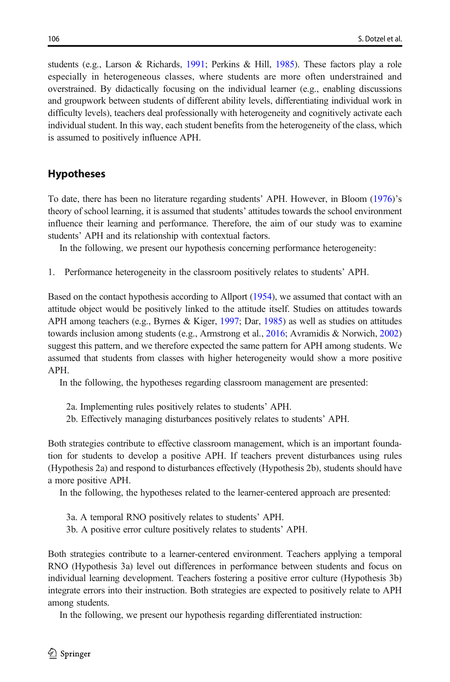students (e.g., Larson & Richards, [1991](#page-18-0); Perkins & Hill, [1985\)](#page-19-0). These factors play a role especially in heterogeneous classes, where students are more often understrained and overstrained. By didactically focusing on the individual learner (e.g., enabling discussions and groupwork between students of different ability levels, differentiating individual work in difficulty levels), teachers deal professionally with heterogeneity and cognitively activate each individual student. In this way, each student benefits from the heterogeneity of the class, which is assumed to positively influence APH.

# **Hypotheses**

To date, there has been no literature regarding students' APH. However, in Bloom ([1976](#page-16-0))'s theory of school learning, it is assumed that students' attitudes towards the school environment influence their learning and performance. Therefore, the aim of our study was to examine students' APH and its relationship with contextual factors.

In the following, we present our hypothesis concerning performance heterogeneity:

1. Performance heterogeneity in the classroom positively relates to students' APH.

Based on the contact hypothesis according to Allport [\(1954](#page-16-0)), we assumed that contact with an attitude object would be positively linked to the attitude itself. Studies on attitudes towards APH among teachers (e.g., Byrnes & Kiger, [1997](#page-17-0); Dar, [1985](#page-17-0)) as well as studies on attitudes towards inclusion among students (e.g., Armstrong et al., [2016](#page-16-0); Avramidis & Norwich, [2002\)](#page-16-0) suggest this pattern, and we therefore expected the same pattern for APH among students. We assumed that students from classes with higher heterogeneity would show a more positive APH.

In the following, the hypotheses regarding classroom management are presented:

- 2a. Implementing rules positively relates to students' APH.
- 2b. Effectively managing disturbances positively relates to students' APH.

Both strategies contribute to effective classroom management, which is an important foundation for students to develop a positive APH. If teachers prevent disturbances using rules (Hypothesis 2a) and respond to disturbances effectively (Hypothesis 2b), students should have a more positive APH.

In the following, the hypotheses related to the learner-centered approach are presented:

- 3a. A temporal RNO positively relates to students' APH.
- 3b. A positive error culture positively relates to students' APH.

Both strategies contribute to a learner-centered environment. Teachers applying a temporal RNO (Hypothesis 3a) level out differences in performance between students and focus on individual learning development. Teachers fostering a positive error culture (Hypothesis 3b) integrate errors into their instruction. Both strategies are expected to positively relate to APH among students.

In the following, we present our hypothesis regarding differentiated instruction: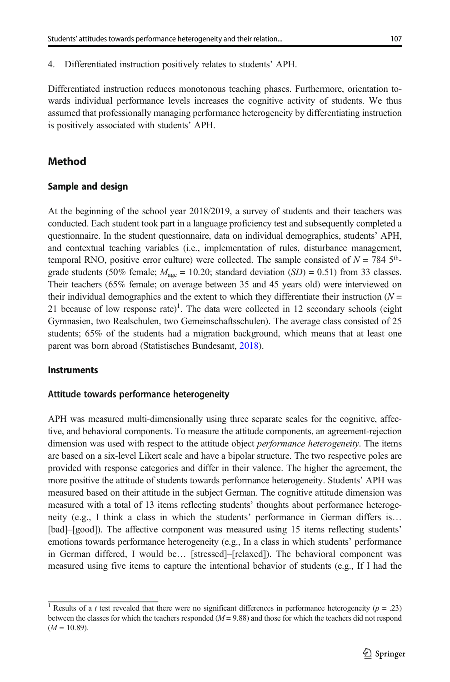4. Differentiated instruction positively relates to students' APH.

Differentiated instruction reduces monotonous teaching phases. Furthermore, orientation towards individual performance levels increases the cognitive activity of students. We thus assumed that professionally managing performance heterogeneity by differentiating instruction is positively associated with students' APH.

# Method

### Sample and design

At the beginning of the school year 2018/2019, a survey of students and their teachers was conducted. Each student took part in a language proficiency test and subsequently completed a questionnaire. In the student questionnaire, data on individual demographics, students' APH, and contextual teaching variables (i.e., implementation of rules, disturbance management, temporal RNO, positive error culture) were collected. The sample consisted of  $N = 784$  5<sup>th</sup>grade students (50% female;  $M_{\text{age}} = 10.20$ ; standard deviation (SD) = 0.51) from 33 classes. Their teachers (65% female; on average between 35 and 45 years old) were interviewed on their individual demographics and the extent to which they differentiate their instruction  $(N =$ 21 because of low response rate)<sup>1</sup>. The data were collected in 12 secondary schools (eight Gymnasien, two Realschulen, two Gemeinschaftsschulen). The average class consisted of 25 students; 65% of the students had a migration background, which means that at least one parent was born abroad (Statistisches Bundesamt, [2018\)](#page-17-0).

### Instruments

### Attitude towards performance heterogeneity

APH was measured multi-dimensionally using three separate scales for the cognitive, affective, and behavioral components. To measure the attitude components, an agreement-rejection dimension was used with respect to the attitude object *performance heterogeneity*. The items are based on a six-level Likert scale and have a bipolar structure. The two respective poles are provided with response categories and differ in their valence. The higher the agreement, the more positive the attitude of students towards performance heterogeneity. Students' APH was measured based on their attitude in the subject German. The cognitive attitude dimension was measured with a total of 13 items reflecting students' thoughts about performance heterogeneity (e.g., I think a class in which the students' performance in German differs is… [bad]–[good]). The affective component was measured using 15 items reflecting students' emotions towards performance heterogeneity (e.g., In a class in which students' performance in German differed, I would be… [stressed]–[relaxed]). The behavioral component was measured using five items to capture the intentional behavior of students (e.g., If I had the

<sup>&</sup>lt;sup>1</sup> Results of a *t* test revealed that there were no significant differences in performance heterogeneity ( $p = .23$ ) between the classes for which the teachers responded ( $M = 9.88$ ) and those for which the teachers did not respond  $(M = 10.89)$ .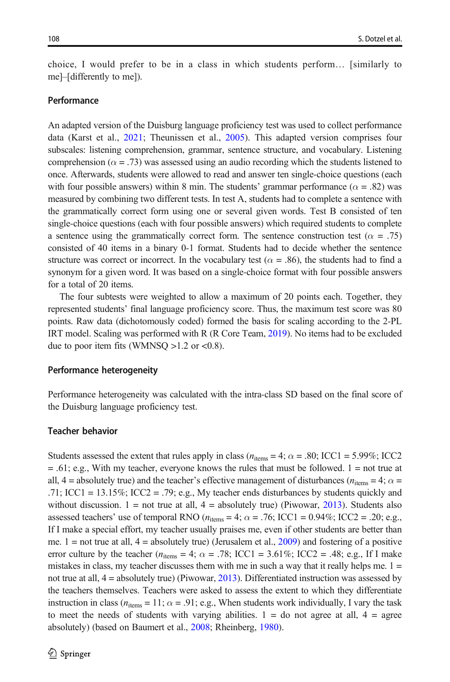choice, I would prefer to be in a class in which students perform… [similarly to me]–[differently to me]).

### Performance

An adapted version of the Duisburg language proficiency test was used to collect performance data (Karst et al., [2021;](#page-18-0) Theunissen et al., [2005](#page-20-0)). This adapted version comprises four subscales: listening comprehension, grammar, sentence structure, and vocabulary. Listening comprehension ( $\alpha = .73$ ) was assessed using an audio recording which the students listened to once. Afterwards, students were allowed to read and answer ten single-choice questions (each with four possible answers) within 8 min. The students' grammar performance ( $\alpha = .82$ ) was measured by combining two different tests. In test A, students had to complete a sentence with the grammatically correct form using one or several given words. Test B consisted of ten single-choice questions (each with four possible answers) which required students to complete a sentence using the grammatically correct form. The sentence construction test ( $\alpha = .75$ ) consisted of 40 items in a binary 0-1 format. Students had to decide whether the sentence structure was correct or incorrect. In the vocabulary test ( $\alpha$  = .86), the students had to find a synonym for a given word. It was based on a single-choice format with four possible answers for a total of 20 items.

The four subtests were weighted to allow a maximum of 20 points each. Together, they represented students' final language proficiency score. Thus, the maximum test score was 80 points. Raw data (dichotomously coded) formed the basis for scaling according to the 2-PL IRT model. Scaling was performed with R (R Core Team, [2019](#page-19-0)). No items had to be excluded due to poor item fits (WMNSQ  $>1.2$  or <0.8).

### Performance heterogeneity

Performance heterogeneity was calculated with the intra-class SD based on the final score of the Duisburg language proficiency test.

### Teacher behavior

Students assessed the extent that rules apply in class ( $n_{\text{items}} = 4$ ;  $\alpha = .80$ ; ICC1 = 5.99%; ICC2  $= 0.61$ ; e.g., With my teacher, everyone knows the rules that must be followed. 1 = not true at all,  $4 =$  absolutely true) and the teacher's effective management of disturbances ( $n_{\text{items}} = 4$ ;  $\alpha =$ .71; ICC1 = 13.15%; ICC2 = .79; e.g., My teacher ends disturbances by students quickly and without discussion.  $1 = not$  true at all,  $4 = absolutely$  true) (Piwowar, [2013](#page-19-0)). Students also assessed teachers' use of temporal RNO ( $n_{\text{items}} = 4$ ;  $\alpha = .76$ ; ICC1 = 0.94%; ICC2 = .20; e.g., If I make a special effort, my teacher usually praises me, even if other students are better than me.  $1 =$  not true at all,  $4 =$  absolutely true) (Jerusalem et al., [2009](#page-18-0)) and fostering of a positive error culture by the teacher  $(n_{\text{items}} = 4; \alpha = .78; \text{ICC1} = 3.61\%; \text{ICC2} = .48; \text{ e.g., If I make}$ mistakes in class, my teacher discusses them with me in such a way that it really helps me.  $1 =$ not true at all, 4 = absolutely true) (Piwowar, [2013\)](#page-19-0). Differentiated instruction was assessed by the teachers themselves. Teachers were asked to assess the extent to which they differentiate instruction in class ( $n_{\text{items}} = 11$ ;  $\alpha = .91$ ; e.g., When students work individually, I vary the task to meet the needs of students with varying abilities.  $1 =$  do not agree at all,  $4 =$  agree absolutely) (based on Baumert et al., [2008;](#page-16-0) Rheinberg, [1980](#page-19-0)).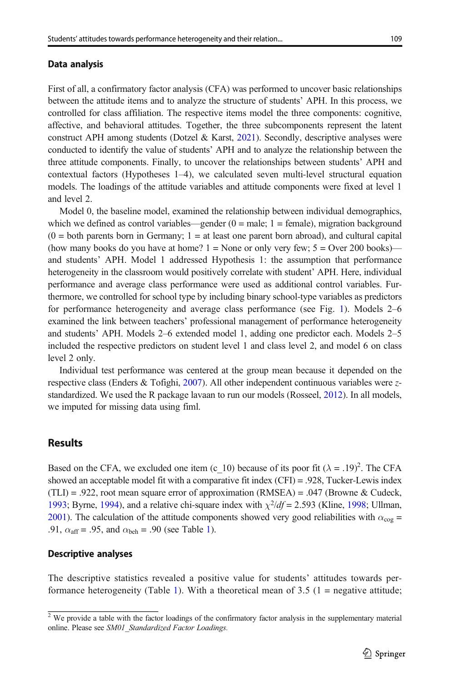### Data analysis

First of all, a confirmatory factor analysis (CFA) was performed to uncover basic relationships between the attitude items and to analyze the structure of students' APH. In this process, we controlled for class affiliation. The respective items model the three components: cognitive, affective, and behavioral attitudes. Together, the three subcomponents represent the latent construct APH among students (Dotzel & Karst,  $2021$ ). Secondly, descriptive analyses were conducted to identify the value of students' APH and to analyze the relationship between the three attitude components. Finally, to uncover the relationships between students' APH and contextual factors (Hypotheses 1–4), we calculated seven multi-level structural equation models. The loadings of the attitude variables and attitude components were fixed at level 1 and level 2.

Model 0, the baseline model, examined the relationship between individual demographics, which we defined as control variables—gender  $(0 = male; 1 = female)$ , migration background  $(0 =$  both parents born in Germany;  $1 =$  at least one parent born abroad), and cultural capital (how many books do you have at home?  $1 =$  None or only very few;  $5 =$  Over 200 books) and students' APH. Model 1 addressed Hypothesis 1: the assumption that performance heterogeneity in the classroom would positively correlate with student' APH. Here, individual performance and average class performance were used as additional control variables. Furthermore, we controlled for school type by including binary school-type variables as predictors for performance heterogeneity and average class performance (see Fig. [1](#page-9-0)). Models 2–6 examined the link between teachers' professional management of performance heterogeneity and students' APH. Models 2–6 extended model 1, adding one predictor each. Models 2–5 included the respective predictors on student level 1 and class level 2, and model 6 on class level 2 only.

Individual test performance was centered at the group mean because it depended on the respective class (Enders & Tofighi, [2007](#page-17-0)). All other independent continuous variables were zstandardized. We used the R package lavaan to run our models (Rosseel, [2012\)](#page-20-0). In all models, we imputed for missing data using fiml.

# **Results**

Based on the CFA, we excluded one item (c\_10) because of its poor fit  $(\lambda = .19)^2$ . The CFA showed an acceptable model fit with a comparative fit index (CFI) = .928, Tucker-Lewis index  $(TLI) = .922$ , root mean square error of approximation (RMSEA) = .047 (Browne & Cudeck, [1993](#page-17-0); Byrne, [1994](#page-17-0)), and a relative chi-square index with  $\chi^2/df = 2.593$  (Kline, [1998;](#page-18-0) Ullman, [2001](#page-20-0)). The calculation of the attitude components showed very good reliabilities with  $\alpha_{\rm cov}$  = .91,  $\alpha_{\text{aff}}$  = .95, and  $\alpha_{\text{beh}}$  = .90 (see Table [1\)](#page-9-0).

### Descriptive analyses

The descriptive statistics revealed a positive value for students' attitudes towards per-formance heterogeneity (Table [1](#page-9-0)). With a theoretical mean of 3.5 ( $1$  = negative attitude;

<sup>&</sup>lt;sup>2</sup> We provide a table with the factor loadings of the confirmatory factor analysis in the supplementary material online. Please see SM01\_Standardized Factor Loadings.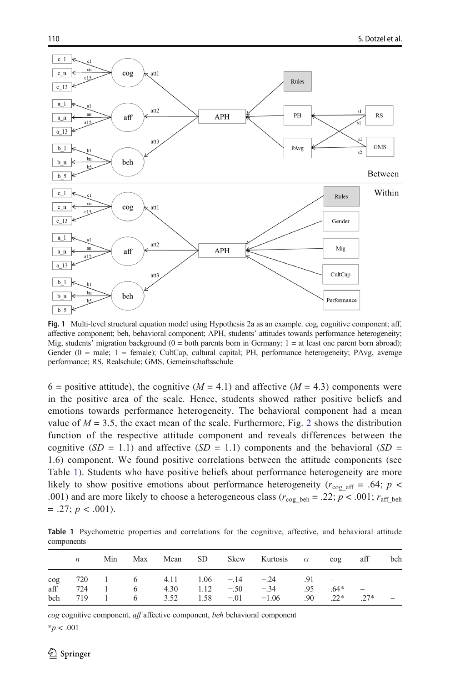<span id="page-9-0"></span>

Fig. 1 Multi-level structural equation model using Hypothesis 2a as an example. cog, cognitive component; aff, affective component; beh, behavioral component; APH, students' attitudes towards performance heterogeneity; Mig, students' migration background (0 = both parents born in Germany; 1 = at least one parent born abroad); Gender (0 = male; 1 = female); CultCap, cultural capital; PH, performance heterogeneity; PAvg, average performance; RS, Realschule; GMS, Gemeinschaftsschule

6 = positive attitude), the cognitive  $(M = 4.1)$  and affective  $(M = 4.3)$  components were in the positive area of the scale. Hence, students showed rather positive beliefs and emotions towards performance heterogeneity. The behavioral component had a mean value of  $M = 3.5$ , the exact mean of the scale. Furthermore, Fig. [2](#page-10-0) shows the distribution function of the respective attitude component and reveals differences between the cognitive  $(SD = 1.1)$  and affective  $(SD = 1.1)$  components and the behavioral  $(SD = 1.1)$ 1.6) component. We found positive correlations between the attitude components (see Table 1). Students who have positive beliefs about performance heterogeneity are more likely to show positive emotions about performance heterogeneity ( $r_{\text{co}g\text{aff}}$  = .64; p < .001) and are more likely to choose a heterogeneous class ( $r_{\text{co}g_{\text{ beh}}} = .22; p < .001; r_{\text{aff~beh}}$  $= .27; p < .001$ ).

Table 1 Psychometric properties and correlations for the cognitive, affective, and behavioral attitude components

|     | n   | Min      |          |                                                                 |      |               | Max Mean SD Skew Kurtosis $\alpha$ |     | $\cos$ | aff                              | beh                      |
|-----|-----|----------|----------|-----------------------------------------------------------------|------|---------------|------------------------------------|-----|--------|----------------------------------|--------------------------|
| cog |     |          |          | $720 \quad 1 \quad 6 \quad 4.11 \quad 1.06 \quad -14 \quad -24$ |      |               |                                    | .91 |        |                                  |                          |
| aff | 724 | $\sim$ 1 |          | 6 $4.30$ $1.12$ $-50$ $-34$                                     |      |               |                                    | .95 | $.64*$ | $\overbrace{\phantom{12322111}}$ |                          |
| beh | 719 |          | 1 6 3.52 |                                                                 | 1.58 | $-0.01 -1.06$ |                                    | .90 | $.22*$ | $27*$                            | $\overline{\phantom{a}}$ |

cog cognitive component, aff affective component, beh behavioral component

 $*p < .001$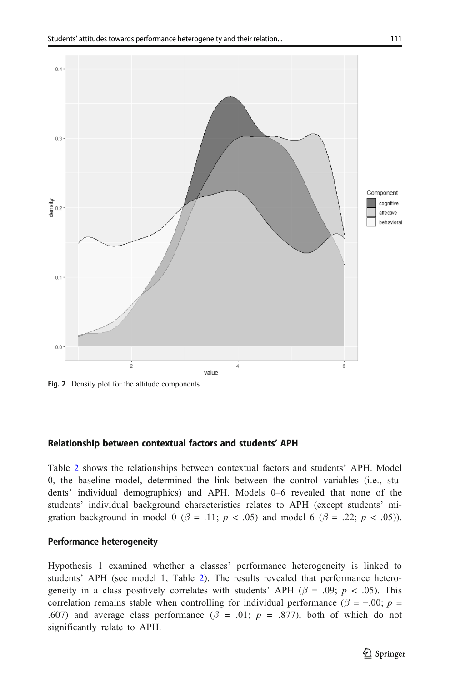<span id="page-10-0"></span>

Fig. 2 Density plot for the attitude components

#### Relationship between contextual factors and students' APH

Table [2](#page-11-0) shows the relationships between contextual factors and students' APH. Model 0, the baseline model, determined the link between the control variables (i.e., students' individual demographics) and APH. Models 0–6 revealed that none of the students' individual background characteristics relates to APH (except students' migration background in model 0 ( $\beta$  = .11; p < .05) and model 6 ( $\beta$  = .22; p < .05)).

### Performance heterogeneity

Hypothesis 1 examined whether a classes' performance heterogeneity is linked to students' APH (see model 1, Table [2](#page-11-0)). The results revealed that performance heterogeneity in a class positively correlates with students' APH ( $\beta = .09$ ;  $p < .05$ ). This correlation remains stable when controlling for individual performance ( $\beta$  = -.00; p = .607) and average class performance ( $\beta$  = .01; p = .877), both of which do not significantly relate to APH.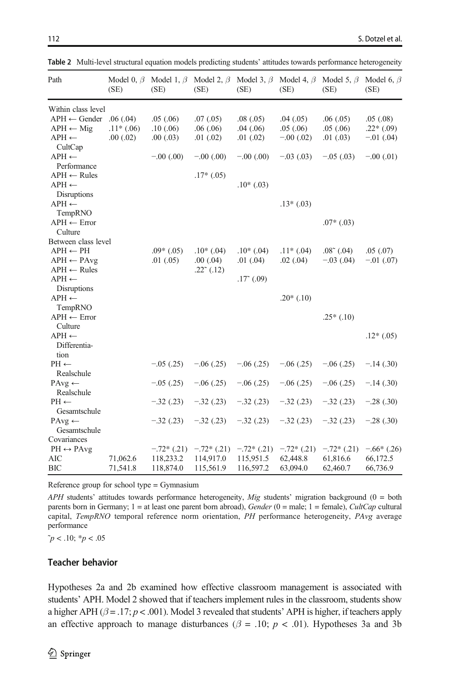| Path                              | (SE)        | Model 0, $\beta$ Model 1, $\beta$ Model 2, $\beta$ Model 3, $\beta$ Model 4, $\beta$ Model 5, $\beta$<br>(SE) | (SE)                | (SE)                | (SE)          | (SE)                | Model 6, $\beta$<br>(SE) |
|-----------------------------------|-------------|---------------------------------------------------------------------------------------------------------------|---------------------|---------------------|---------------|---------------------|--------------------------|
| Within class level                |             |                                                                                                               |                     |                     |               |                     |                          |
| $APH \leftarrow$ Gender           | .06(.04)    | .05(.06)                                                                                                      | .07(0.05)           | .08(.05)            | .04(0.05)     | .06(0.05)           | .05(.08)                 |
| $APH \leftarrow$ Mig              | $.11*(.06)$ | .10(0.06)                                                                                                     | .06(.06)            | .04(0.06)           | .05(.06)      | .05(.06)            | $.22*(.09)$              |
| $APH \leftarrow$                  | .00(.02)    | .00(0.03)                                                                                                     | .01(0.02)           | .01(0.02)           | $-0.00(0.02)$ | .01(0.03)           | $-.01$ (.04)             |
| CultCap                           |             |                                                                                                               |                     |                     |               |                     |                          |
| $APH \leftarrow$                  |             | $-0.00(0.00)$                                                                                                 | $-.00(.00)$         | $-.00(.00)$         | $-.03(.03)$   | $-0.05(0.03)$       | $-.00(.01)$              |
| Performance                       |             |                                                                                                               |                     |                     |               |                     |                          |
| $APH \leftarrow Rules$            |             |                                                                                                               | $.17*(.05)$         |                     |               |                     |                          |
| $APH \leftarrow$                  |             |                                                                                                               |                     | $.10*(.03)$         |               |                     |                          |
| Disruptions                       |             |                                                                                                               |                     |                     |               |                     |                          |
| $APH \leftarrow$                  |             |                                                                                                               |                     |                     | $.13*(.03)$   |                     |                          |
| TempRNO                           |             |                                                                                                               |                     |                     |               |                     |                          |
| $APH \leftarrow Error$            |             |                                                                                                               |                     |                     |               | $.07*(.03)$         |                          |
| Culture                           |             |                                                                                                               |                     |                     |               |                     |                          |
| Between class level               |             |                                                                                                               |                     |                     |               |                     |                          |
| $APH \leftarrow PH$               |             | $.09*(.05)$                                                                                                   | $.10*(.04)$         | $.10*(.04)$         | $.11*(.04)$   | $.08^{\circ}$ (.04) | .05(.07)                 |
| $APH \leftarrow PAvg$             |             | .01(0.05)                                                                                                     | $.00$ $(.04)$       | $.01$ $(.04)$       | .02(.04)      | $-.03$ (.04)        | $-.01$ (.07)             |
| $APH \leftarrow Rules$            |             |                                                                                                               | $.22^{\circ}$ (.12) |                     |               |                     |                          |
| $APH \leftarrow$                  |             |                                                                                                               |                     | $.17^{\circ}$ (.09) |               |                     |                          |
| Disruptions                       |             |                                                                                                               |                     |                     |               |                     |                          |
| $APH \leftarrow$                  |             |                                                                                                               |                     |                     | $.20*(.10)$   |                     |                          |
| TempRNO                           |             |                                                                                                               |                     |                     |               |                     |                          |
| $APH \leftarrow Error$            |             |                                                                                                               |                     |                     |               | $.25*(.10)$         |                          |
| Culture                           |             |                                                                                                               |                     |                     |               |                     |                          |
| $APH \leftarrow$                  |             |                                                                                                               |                     |                     |               |                     | $.12*(.05)$              |
| Differentia-                      |             |                                                                                                               |                     |                     |               |                     |                          |
| tion                              |             |                                                                                                               |                     |                     |               |                     |                          |
| $PH \leftarrow$                   |             | $-0.05(0.25)$                                                                                                 | $-.06(.25)$         | $-0.06(0.25)$       | $-0.06(0.25)$ | $-0.06(0.25)$       | $-.14(.30)$              |
| Realschule                        |             |                                                                                                               |                     |                     |               |                     |                          |
| $PAvg \leftarrow$                 |             | $-.05(.25)$                                                                                                   | $-0.06$ (.25)       | $-0.06(0.25)$       | $-0.06(0.25)$ | $-0.06(0.25)$       | $-.14(.30)$              |
| Realschule<br>$PH \leftarrow$     |             |                                                                                                               |                     |                     |               |                     |                          |
|                                   |             | $-.32(.23)$                                                                                                   | $-.32(.23)$         | $-.32(.23)$         | $-.32(.23)$   | $-.32(.23)$         | $-.28(.30)$              |
| Gesamtschule<br>$PAvg \leftarrow$ |             | $-.32(.23)$                                                                                                   | $-.32(.23)$         | $-.32(.23)$         | $-.32(.23)$   | $-.32(.23)$         | $-.28(.30)$              |
| Gesamtschule                      |             |                                                                                                               |                     |                     |               |                     |                          |
| Covariances                       |             |                                                                                                               |                     |                     |               |                     |                          |
| $PH \leftrightarrow PAvg$         |             | $-.72*(.21)$                                                                                                  | $-.72*(.21)$        | $-.72*(.21)$        | $-.72*(.21)$  | $-.72*(.21)$        | $-.66*(.26)$             |
| <b>AIC</b>                        | 71,062.6    | 118,233.2                                                                                                     | 114,917.0           | 115,951.5           | 62,448.8      | 61,816.6            | 66,172.5                 |
| BIC                               | 71,541.8    | 118,874.0                                                                                                     | 115,561.9           | 116,597.2           | 63,094.0      | 62,460.7            | 66,736.9                 |
|                                   |             |                                                                                                               |                     |                     |               |                     |                          |

<span id="page-11-0"></span>Table 2 Multi-level structural equation models predicting students' attitudes towards performance heterogeneity

Reference group for school type = Gymnasium

APH students' attitudes towards performance heterogeneity, Mig students' migration background (0 = both parents born in Germany;  $1 =$  at least one parent born abroad), Gender (0 = male; 1 = female), CultCap cultural capital, TempRNO temporal reference norm orientation, PH performance heterogeneity, PAvg average performance

 $\tilde{p}$  < .10; \* $p$  < .05

### Teacher behavior

Hypotheses 2a and 2b examined how effective classroom management is associated with students' APH. Model 2 showed that if teachers implement rules in the classroom, students show a higher APH ( $\beta$  = .17; p < .001). Model 3 revealed that students' APH is higher, if teachers apply an effective approach to manage disturbances ( $\beta = .10$ ;  $p < .01$ ). Hypotheses 3a and 3b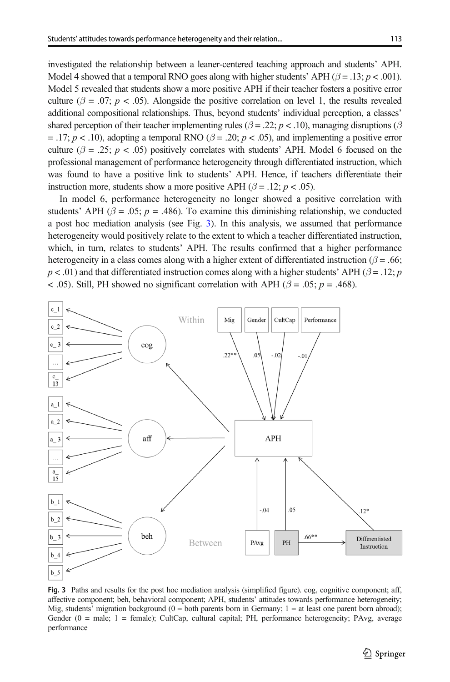investigated the relationship between a leaner-centered teaching approach and students' APH. Model 4 showed that a temporal RNO goes along with higher students' APH ( $\beta = .13$ ;  $p < .001$ ). Model 5 revealed that students show a more positive APH if their teacher fosters a positive error culture ( $\beta = .07$ ;  $p < .05$ ). Alongside the positive correlation on level 1, the results revealed additional compositional relationships. Thus, beyond students' individual perception, a classes' shared perception of their teacher implementing rules ( $\beta = .22$ ;  $p < .10$ ), managing disruptions ( $\beta$ = .17;  $p < 0.10$ , adopting a temporal RNO ( $\beta$  = .20;  $p < 0.05$ ), and implementing a positive error culture ( $\beta = .25$ ;  $p < .05$ ) positively correlates with students' APH. Model 6 focused on the professional management of performance heterogeneity through differentiated instruction, which was found to have a positive link to students' APH. Hence, if teachers differentiate their instruction more, students show a more positive APH ( $\beta$  = .12; p < .05).

In model 6, performance heterogeneity no longer showed a positive correlation with students' APH ( $\beta$  = .05; p = .486). To examine this diminishing relationship, we conducted a post hoc mediation analysis (see Fig. 3). In this analysis, we assumed that performance heterogeneity would positively relate to the extent to which a teacher differentiated instruction, which, in turn, relates to students' APH. The results confirmed that a higher performance heterogeneity in a class comes along with a higher extent of differentiated instruction ( $\beta$  = .66;  $p < .01$ ) and that differentiated instruction comes along with a higher students' APH ( $\beta = .12$ ; p < .05). Still, PH showed no significant correlation with APH ( $\beta$  = .05; p = .468).



Fig. 3 Paths and results for the post hoc mediation analysis (simplified figure). cog, cognitive component; aff, affective component; beh, behavioral component; APH, students' attitudes towards performance heterogeneity; Mig, students' migration background ( $0 =$  both parents born in Germany;  $1 =$  at least one parent born abroad); Gender (0 = male; 1 = female); CultCap, cultural capital; PH, performance heterogeneity; PAvg, average performance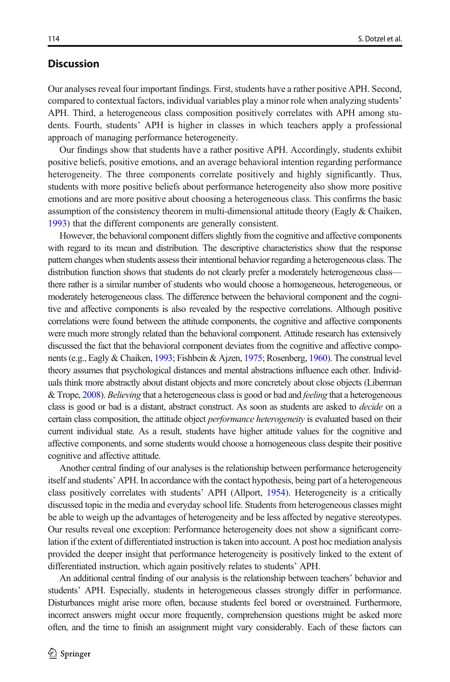# <span id="page-13-0"></span>**Discussion**

Our analyses reveal four important findings. First, students have a rather positive APH. Second, compared to contextual factors, individual variables play a minor role when analyzing students' APH. Third, a heterogeneous class composition positively correlates with APH among students. Fourth, students' APH is higher in classes in which teachers apply a professional approach of managing performance heterogeneity.

Our findings show that students have a rather positive APH. Accordingly, students exhibit positive beliefs, positive emotions, and an average behavioral intention regarding performance heterogeneity. The three components correlate positively and highly significantly. Thus, students with more positive beliefs about performance heterogeneity also show more positive emotions and are more positive about choosing a heterogeneous class. This confirms the basic assumption of the consistency theorem in multi-dimensional attitude theory (Eagly & Chaiken, [1993](#page-17-0)) that the different components are generally consistent.

However, the behavioral component differs slightly from the cognitive and affective components with regard to its mean and distribution. The descriptive characteristics show that the response pattern changes when students assess their intentional behavior regarding a heterogeneous class. The distribution function shows that students do not clearly prefer a moderately heterogeneous class there rather is a similar number of students who would choose a homogeneous, heterogeneous, or moderately heterogeneous class. The difference between the behavioral component and the cognitive and affective components is also revealed by the respective correlations. Although positive correlations were found between the attitude components, the cognitive and affective components were much more strongly related than the behavioral component. Attitude research has extensively discussed the fact that the behavioral component deviates from the cognitive and affective components (e.g., Eagly & Chaiken, [1993](#page-17-0); Fishbein & Ajzen, [1975](#page-17-0); Rosenberg, [1960\)](#page-19-0). The construal level theory assumes that psychological distances and mental abstractions influence each other. Individuals think more abstractly about distant objects and more concretely about close objects (Liberman & Trope, [2008](#page-18-0)). Believing that a heterogeneous class is good or bad and *feeling* that a heterogeneous class is good or bad is a distant, abstract construct. As soon as students are asked to *decide* on a certain class composition, the attitude object *performance heterogeneity* is evaluated based on their current individual state. As a result, students have higher attitude values for the cognitive and affective components, and some students would choose a homogeneous class despite their positive cognitive and affective attitude.

Another central finding of our analyses is the relationship between performance heterogeneity itself and students' APH. In accordance with the contact hypothesis, being part of a heterogeneous class positively correlates with students' APH (Allport, [1954\)](#page-16-0). Heterogeneity is a critically discussed topic in the media and everyday school life. Students from heterogeneous classes might be able to weigh up the advantages of heterogeneity and be less affected by negative stereotypes. Our results reveal one exception: Performance heterogeneity does not show a significant correlation if the extent of differentiated instruction is taken into account. A post hoc mediation analysis provided the deeper insight that performance heterogeneity is positively linked to the extent of differentiated instruction, which again positively relates to students' APH.

An additional central finding of our analysis is the relationship between teachers' behavior and students' APH. Especially, students in heterogeneous classes strongly differ in performance. Disturbances might arise more often, because students feel bored or overstrained. Furthermore, incorrect answers might occur more frequently, comprehension questions might be asked more often, and the time to finish an assignment might vary considerably. Each of these factors can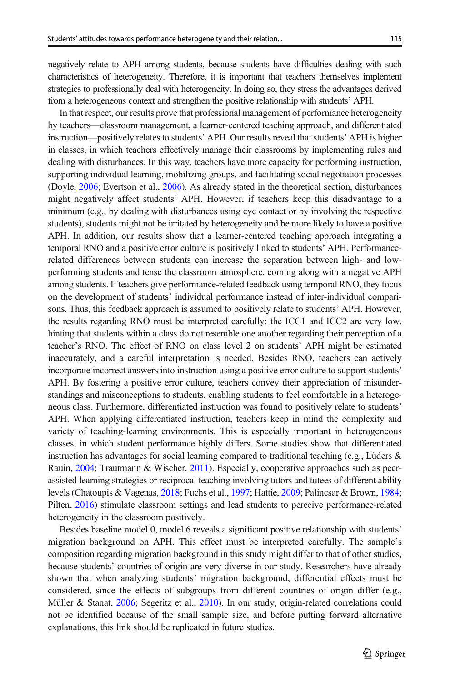negatively relate to APH among students, because students have difficulties dealing with such characteristics of heterogeneity. Therefore, it is important that teachers themselves implement strategies to professionally deal with heterogeneity. In doing so, they stress the advantages derived from a heterogeneous context and strengthen the positive relationship with students' APH.

In that respect, our results prove that professional management of performance heterogeneity by teachers—classroom management, a learner-centered teaching approach, and differentiated instruction—positively relates to students' APH. Our results reveal that students' APH is higher in classes, in which teachers effectively manage their classrooms by implementing rules and dealing with disturbances. In this way, teachers have more capacity for performing instruction, supporting individual learning, mobilizing groups, and facilitating social negotiation processes (Doyle, [2006;](#page-17-0) Evertson et al., [2006](#page-17-0)). As already stated in the theoretical section, disturbances might negatively affect students' APH. However, if teachers keep this disadvantage to a minimum (e.g., by dealing with disturbances using eye contact or by involving the respective students), students might not be irritated by heterogeneity and be more likely to have a positive APH. In addition, our results show that a learner-centered teaching approach integrating a temporal RNO and a positive error culture is positively linked to students' APH. Performancerelated differences between students can increase the separation between high- and lowperforming students and tense the classroom atmosphere, coming along with a negative APH among students. If teachers give performance-related feedback using temporal RNO, they focus on the development of students' individual performance instead of inter-individual comparisons. Thus, this feedback approach is assumed to positively relate to students' APH. However, the results regarding RNO must be interpreted carefully: the ICC1 and ICC2 are very low, hinting that students within a class do not resemble one another regarding their perception of a teacher's RNO. The effect of RNO on class level 2 on students' APH might be estimated inaccurately, and a careful interpretation is needed. Besides RNO, teachers can actively incorporate incorrect answers into instruction using a positive error culture to support students' APH. By fostering a positive error culture, teachers convey their appreciation of misunderstandings and misconceptions to students, enabling students to feel comfortable in a heterogeneous class. Furthermore, differentiated instruction was found to positively relate to students' APH. When applying differentiated instruction, teachers keep in mind the complexity and variety of teaching-learning environments. This is especially important in heterogeneous classes, in which student performance highly differs. Some studies show that differentiated instruction has advantages for social learning compared to traditional teaching (e.g., Lüders & Rauin, [2004](#page-18-0); Trautmann & Wischer, [2011](#page-20-0)). Especially, cooperative approaches such as peerassisted learning strategies or reciprocal teaching involving tutors and tutees of different ability levels (Chatoupis & Vagenas, [2018;](#page-17-0) Fuchs et al., [1997;](#page-17-0) Hattie, [2009](#page-18-0); Palincsar & Brown, [1984](#page-19-0); Pilten, [2016](#page-19-0)) stimulate classroom settings and lead students to perceive performance-related heterogeneity in the classroom positively.

Besides baseline model 0, model 6 reveals a significant positive relationship with students' migration background on APH. This effect must be interpreted carefully. The sample's composition regarding migration background in this study might differ to that of other studies, because students' countries of origin are very diverse in our study. Researchers have already shown that when analyzing students' migration background, differential effects must be considered, since the effects of subgroups from different countries of origin differ (e.g., Müller & Stanat, [2006](#page-19-0); Segeritz et al., [2010](#page-20-0)). In our study, origin-related correlations could not be identified because of the small sample size, and before putting forward alternative explanations, this link should be replicated in future studies.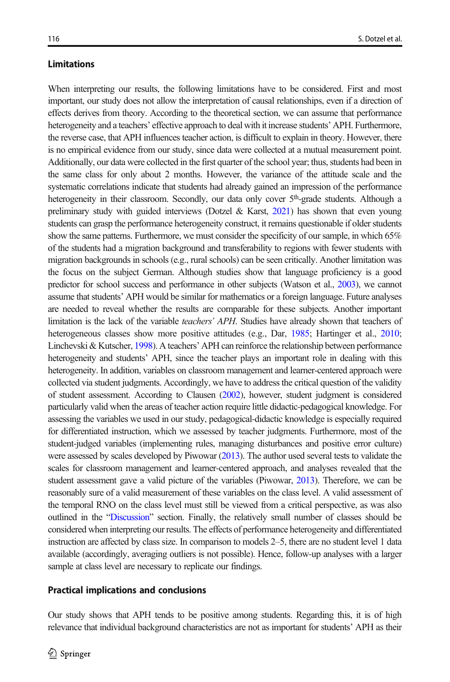### Limitations

When interpreting our results, the following limitations have to be considered. First and most important, our study does not allow the interpretation of causal relationships, even if a direction of effects derives from theory. According to the theoretical section, we can assume that performance heterogeneity and a teachers' effective approach to deal with it increase students' APH. Furthermore, the reverse case, that APH influences teacher action, is difficult to explain in theory. However, there is no empirical evidence from our study, since data were collected at a mutual measurement point. Additionally, our data were collected in the first quarter of the school year; thus, students had been in the same class for only about 2 months. However, the variance of the attitude scale and the systematic correlations indicate that students had already gained an impression of the performance heterogeneity in their classroom. Secondly, our data only cover 5<sup>th</sup>-grade students. Although a preliminary study with guided interviews (Dotzel & Karst, [2021\)](#page-17-0) has shown that even young students can grasp the performance heterogeneity construct, it remains questionable if older students show the same patterns. Furthermore, we must consider the specificity of our sample, in which 65% of the students had a migration background and transferability to regions with fewer students with migration backgrounds in schools (e.g., rural schools) can be seen critically. Another limitation was the focus on the subject German. Although studies show that language proficiency is a good predictor for school success and performance in other subjects (Watson et al., [2003](#page-20-0)), we cannot assume that students' APH would be similar for mathematics or a foreign language. Future analyses are needed to reveal whether the results are comparable for these subjects. Another important limitation is the lack of the variable teachers' APH. Studies have already shown that teachers of heterogeneous classes show more positive attitudes (e.g., Dar, [1985](#page-17-0); Hartinger et al., [2010;](#page-17-0) Linchevski & Kutscher, [1998\)](#page-18-0). A teachers' APH can reinforce the relationship between performance heterogeneity and students' APH, since the teacher plays an important role in dealing with this heterogeneity. In addition, variables on classroom management and learner-centered approach were collected via student judgments. Accordingly, we have to address the critical question of the validity of student assessment. According to Clausen [\(2002\)](#page-17-0), however, student judgment is considered particularly valid when the areas of teacher action require little didactic-pedagogical knowledge. For assessing the variables we used in our study, pedagogical-didactic knowledge is especially required for differentiated instruction, which we assessed by teacher judgments. Furthermore, most of the student-judged variables (implementing rules, managing disturbances and positive error culture) were assessed by scales developed by Piwowar ([2013](#page-19-0)). The author used several tests to validate the scales for classroom management and learner-centered approach, and analyses revealed that the student assessment gave a valid picture of the variables (Piwowar, [2013](#page-19-0)). Therefore, we can be reasonably sure of a valid measurement of these variables on the class level. A valid assessment of the temporal RNO on the class level must still be viewed from a critical perspective, as was also outlined in the "[Discussion](#page-13-0)" section. Finally, the relatively small number of classes should be considered when interpreting our results. The effects of performance heterogeneity and differentiated instruction are affected by class size. In comparison to models 2–5, there are no student level 1 data available (accordingly, averaging outliers is not possible). Hence, follow-up analyses with a larger sample at class level are necessary to replicate our findings.

#### Practical implications and conclusions

Our study shows that APH tends to be positive among students. Regarding this, it is of high relevance that individual background characteristics are not as important for students' APH as their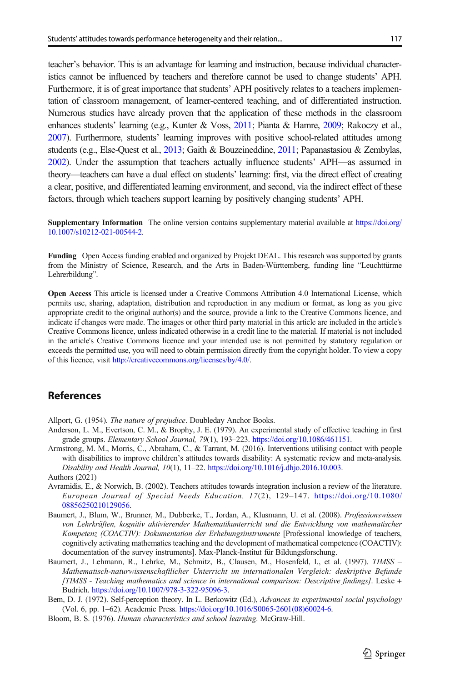<span id="page-16-0"></span>teacher's behavior. This is an advantage for learning and instruction, because individual characteristics cannot be influenced by teachers and therefore cannot be used to change students' APH. Furthermore, it is of great importance that students' APH positively relates to a teachers implementation of classroom management, of learner-centered teaching, and of differentiated instruction. Numerous studies have already proven that the application of these methods in the classroom enhances students' learning (e.g., Kunter & Voss, [2011](#page-18-0); Pianta & Hamre, [2009](#page-19-0); Rakoczy et al., [2007\)](#page-19-0). Furthermore, students' learning improves with positive school-related attitudes among students (e.g., Else-Quest et al., [2013;](#page-17-0) Gaith & Bouzeineddine, [2011](#page-17-0); Papanastasiou & Zembylas, [2002\)](#page-19-0). Under the assumption that teachers actually influence students' APH—as assumed in theory—teachers can have a dual effect on students' learning: first, via the direct effect of creating a clear, positive, and differentiated learning environment, and second, via the indirect effect of these factors, through which teachers support learning by positively changing students' APH.

Supplementary Information The online version contains supplementary material available at [https://doi.org/](https://doi.org/10.1007/s10212-021-00544-2) [10.1007/s10212-021-00544-2.](https://doi.org/10.1007/s10212-021-00544-2)

Funding Open Access funding enabled and organized by Projekt DEAL. This research was supported by grants from the Ministry of Science, Research, and the Arts in Baden-Württemberg, funding line "Leuchttürme Lehrerbildung".

Open Access This article is licensed under a Creative Commons Attribution 4.0 International License, which permits use, sharing, adaptation, distribution and reproduction in any medium or format, as long as you give appropriate credit to the original author(s) and the source, provide a link to the Creative Commons licence, and indicate if changes were made. The images or other third party material in this article are included in the article's Creative Commons licence, unless indicated otherwise in a credit line to the material. If material is not included in the article's Creative Commons licence and your intended use is not permitted by statutory regulation or exceeds the permitted use, you will need to obtain permission directly from the copyright holder. To view a copy of this licence, visit [http://creativecommons.org/licenses/by/4.0/.](http://creativecommons.org/licenses/by/4.0/)

### References

Allport, G. (1954). The nature of prejudice. Doubleday Anchor Books.

- Anderson, L. M., Evertson, C. M., & Brophy, J. E. (1979). An experimental study of effective teaching in first grade groups. Elementary School Journal, 79(1), 193–223. [https://doi.org/10.1086/461151](https://doi.org/10.1007/s10212-021-00544-2).
- Armstrong, M. M., Morris, C., Abraham, C., & Tarrant, M. (2016). Interventions utilising contact with people with disabilities to improve children's attitudes towards disability: A systematic review and meta-analysis. Disability and Health Journal, 10(1), 11–22. <https://doi.org/10.1016/j.dhjo.2016.10.003>. Authors (2021)
- Avramidis, E., & Norwich, B. (2002). Teachers attitudes towards integration inclusion a review of the literature. European Journal of Special Needs Education, 17(2), 129–147. [https://doi.org/10.1080/](https://doi.org/10.1080/08856250210129056) [08856250210129056.](https://doi.org/10.1080/08856250210129056)
- Baumert, J., Blum, W., Brunner, M., Dubberke, T., Jordan, A., Klusmann, U. et al. (2008). Professionswissen von Lehrkräften, kognitiv aktivierender Mathematikunterricht und die Entwicklung von mathematischer Kompetenz (COACTIV): Dokumentation der Erhebungsinstrumente [Professional knowledge of teachers, cognitively activating mathematics teaching and the development of mathematical competence (COACTIV): documentation of the survey instruments]. Max-Planck-Institut für Bildungsforschung.
- Baumert, J., Lehmann, R., Lehrke, M., Schmitz, B., Clausen, M., Hosenfeld, I., et al. (1997). TIMSS -Mathematisch-naturwissenschaftlicher Unterricht im internationalen Vergleich: deskriptive Befunde [TIMSS - Teaching mathematics and science in international comparison: Descriptive findings]. Leske + Budrich. [https://doi.org/10.1007/978-3-322-95096-3](https://doi.org/10.1007/978-322-3).
- Bem, D. J. (1972). Self-perception theory. In L. Berkowitz (Ed.), Advances in experimental social psychology (Vol. 6, pp. 1–62). Academic Press. [https://doi.org/10.1016/S0065-2601\(08\)60024-6](https://doi.org/10.1016/S0065-2601(08)60024-6).
- Bloom, B. S. (1976). Human characteristics and school learning. McGraw-Hill.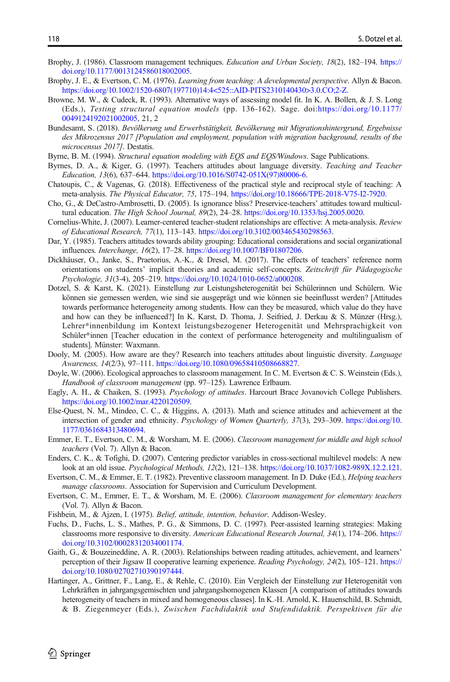- <span id="page-17-0"></span>Brophy, J. (1986). Classroom management techniques. *Education and Urban Society*, 18(2), 182–194. [https://](https://doi.org/10.1177/0013124586018002005) [doi.org/10.1177/0013124586018002005](https://doi.org/10.1177/0013124586018002005).
- Brophy, J. E., & Evertson, C. M. (1976). Learning from teaching: A developmental perspective. Allyn & Bacon. [https://doi.org/10.1002/1520-6807\(197710\)14:4<525::AID-PITS2310140430>3.0.CO;2-Z.](https://doi.org/10.1002/1520-6807(197710)14:4<525::AID-PITS2310140430>3.0.CO;2-Z)
- Browne, M. W., & Cudeck, R. (1993). Alternative ways of assessing model fit. In K. A. Bollen, & J. S. Long (Eds.), Testing structural equation models (pp. 136-162). Sage. doi:[https://doi.org/10.1177/](https://doi.org/10.1177/0049124192021002005) [0049124192021002005](https://doi.org/10.1177/0049124192021002005), 21, 2
- Bundesamt, S. (2018). Bevölkerung und Erwerbstätigkeit, Bevölkerung mit Migrationshintergrund, Ergebnisse des Mikrozensus 2017 [Population and employment, population with migration background, results of the microcensus 2017]. Destatis.
- Byrne, B. M. (1994). Structural equation modeling with EOS and EOS/Windows. Sage Publications.
- Byrnes, D. A., & Kiger, G. (1997). Teachers attitudes about language diversity. Teaching and Teacher Education, 13(6), 637–644. [https://doi.org/10.1016/S0742-051X\(97\)80006-6.](https://doi.org/10.1016/S0742-051X(97)80006-6)
- Chatoupis, C., & Vagenas, G. (2018). Effectiveness of the practical style and reciprocal style of teaching: A meta-analysis. The Physical Educator, 75, 175–194. [https://doi.org/10.18666/TPE-2018-V75-I2-7920.](https://doi.org/10.1016/j.tate.2018.01.013)
- Cho, G., & DeCastro-Ambrosetti, D. (2005). Is ignorance bliss? Preservice-teachers' attitudes toward multicultural education. The High School Journal, 89(2), 24–28. <https://doi.org/10.1353/hsj.2005.0020>.
- Cornelius-White, J. (2007). Learner-centered teacher-student relationships are effective: A meta-analysis. Review of Educational Research, 77(1), 113–143. <https://doi.org/10.3102/003465430298563>.
- Dar, Y. (1985). Teachers attitudes towards ability grouping: Educational considerations and social organizational influences. Interchange, 16(2), 17–28. [https://doi.org/10.1007/BF01807206.](https://doi.org/10.1007/BF01807206)
- Dickhäuser, O., Janke, S., Praetorius, A.-K., & Dresel, M. (2017). The effects of teachers' reference norm orientations on students' implicit theories and academic self-concepts. Zeitschrift für Pädagogische Psychologie, 31(3-4), 205–219. <https://doi.org/10.1024/1010-0652/a000208>.
- Dotzel, S. & Karst, K. (2021). Einstellung zur Leistungsheterogenität bei Schülerinnen und Schülern. Wie können sie gemessen werden, wie sind sie ausgeprägt und wie können sie beeinflusst werden? [Attitudes towards performance heterogeneity among students. How can they be measured, which value do they have and how can they be influenced?] In K. Karst, D. Thoma, J. Seifried, J. Derkau & S. Münzer (Hrsg.), Lehrer\*innenbildung im Kontext leistungsbezogener Heterogenität und Mehrsprachigkeit von Schüler\*innen [Teacher education in the context of performance heterogeneity and multilingualism of students]. Münster: Waxmann.
- Dooly, M. (2005). How aware are they? Research into teachers attitudes about linguistic diversity. *Language* Awareness, 14(2/3), 97–111. [https://doi.org/10.1080/09658410508668827.](https://doi.org/10.1080/09658410508668827)
- Doyle, W. (2006). Ecological approaches to classroom management. In C. M. Evertson & C. S. Weinstein (Eds.), Handbook of classroom management (pp. 97–125). Lawrence Erlbaum.
- Eagly, A. H., & Chaiken, S. (1993). Psychology of attitudes. Harcourt Brace Jovanovich College Publishers. <https://doi.org/10.1002/mar.4220120509>.
- Else-Quest, N. M., Mindeo, C. C., & Higgins, A. (2013). Math and science attitudes and achievement at the intersection of gender and ethnicity. Psychology of Women Quarterly, 37(3), 293–309. [https://doi.org/10.](https://doi.org/10.1177/0361684313480694) [1177/0361684313480694](https://doi.org/10.1177/0361684313480694).
- Emmer, E. T., Evertson, C. M., & Worsham, M. E. (2006). Classroom management for middle and high school teachers (Vol. 7). Allyn & Bacon.
- Enders, C. K., & Tofighi, D. (2007). Centering predictor variables in cross-sectional multilevel models: A new look at an old issue. Psychological Methods, 12(2), 121–138. [https://doi.org/10.1037/1082-989X.12.2.121.](https://doi.org/10.1037/1082-989X.12.2.121)
- Evertson, C. M., & Emmer, E. T. (1982). Preventive classroom management. In D. Duke (Ed.), Helping teachers manage classrooms. Association for Supervision and Curriculum Development.
- Evertson, C. M., Emmer, E. T., & Worsham, M. E. (2006). Classroom management for elementary teachers (Vol. 7). Allyn & Bacon.
- Fishbein, M., & Ajzen, I. (1975). Belief, attitude, intention, behavior. Addison-Wesley.
- Fuchs, D., Fuchs, L. S., Mathes, P. G., & Simmons, D. C. (1997). Peer-assisted learning strategies: Making classrooms more responsive to diversity. American Educational Research Journal, 34(1), 174–206. [https://](https://doi.org/10.3102/00028312034001174) [doi.org/10.3102/00028312034001174.](https://doi.org/10.3102/00028312034001174)
- Gaith, G., & Bouzeineddine, A. R. (2003). Relationships between reading attitudes, achievement, and learners' perception of their Jigsaw II cooperative learning experience. Reading Psychology, 24(2), 105–121. [https://](https://doi.org/10.1080/02702710390197444) [doi.org/10.1080/02702710390197444.](https://doi.org/10.1080/02702710390197444)
- Hartinger, A., Grittner, F., Lang, E., & Rehle, C. (2010). Ein Vergleich der Einstellung zur Heterogenität von Lehrkräften in jahrgangsgemischten und jahrgangshomogenen Klassen [A comparison of attitudes towards heterogeneity of teachers in mixed and homogeneous classes]. In K.-H. Arnold, K. Hauenschild, B. Schmidt, & B. Ziegenmeyer (Eds.), Zwischen Fachdidaktik und Stufendidaktik. Perspektiven für die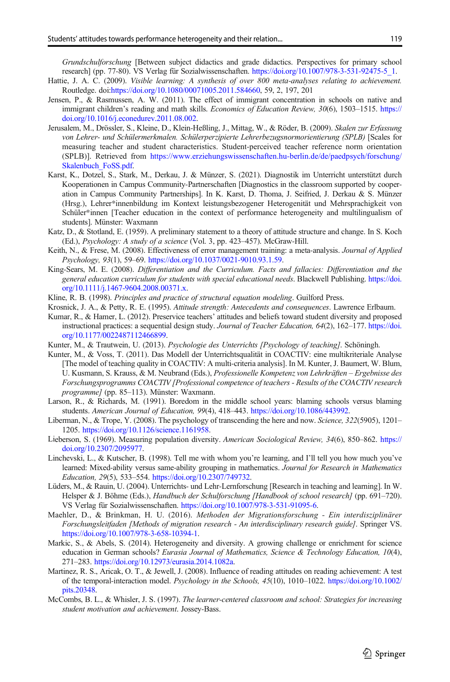<span id="page-18-0"></span>Grundschulforschung [Between subject didactics and grade didactics. Perspectives for primary school research] (pp. 77-80). VS Verlag für Sozialwissenschaften. [https://doi.org/10.1007/978-3-531-92475-5\\_1](https://doi.org/10.1007/978-3-531-92475-5_1).

- Hattie, J. A. C. (2009). Visible learning: A synthesis of over 800 meta-analyses relating to achievement. Routledge. doi[:https://doi.org/10.1080/00071005.2011.584660](https://doi.org/10.1080/00071005.2011.584660), 59, 2, 197, 201
- Jensen, P., & Rasmussen, A. W. (2011). The effect of immigrant concentration in schools on native and immigrant children's reading and math skills. Economics of Education Review, 30(6), 1503-1515. [https://](https://doi.org/10.1016/j.econedurev.2011.08.002) [doi.org/10.1016/j.econedurev.2011.08.002.](https://doi.org/10.1016/j.econedurev.2011.08.002)
- Jerusalem, M., Drössler, S., Kleine, D., Klein-Heßling, J., Mittag, W., & Röder, B. (2009). Skalen zur Erfassung von Lehrer- und Schülermerkmalen. Schülerperzipierte Lehrerbezugsnormorientierung (SPLB) [Scales for measuring teacher and student characteristics. Student-perceived teacher reference norm orientation (SPLB)]. Retrieved from [https://www.erziehungswissenschaften.hu-berlin.de/de/paedpsych/forschung/](https://www.erziehungswissenschaften.hu-berlin.de/de/paedpsych/forschung/Skalenbuch_FoSS.pdf) [Skalenbuch\\_FoSS.pdf](https://www.erziehungswissenschaften.hu-berlin.de/de/paedpsych/forschung/Skalenbuch_FoSS.pdf).
- Karst, K., Dotzel, S., Stark, M., Derkau, J. & Münzer, S. (2021). Diagnostik im Unterricht unterstützt durch Kooperationen in Campus Community-Partnerschaften [Diagnostics in the classroom supported by cooperation in Campus Community Partnerships]. In K. Karst, D. Thoma, J. Seifried, J. Derkau & S. Münzer (Hrsg.), Lehrer\*innenbildung im Kontext leistungsbezogener Heterogenität und Mehrsprachigkeit von Schüler\*innen [Teacher education in the context of performance heterogeneity and multilingualism of students]. Münster: Waxmann
- Katz, D., & Stotland, E. (1959). A preliminary statement to a theory of attitude structure and change. In S. Koch (Ed.), Psychology: A study of a science (Vol. 3, pp. 423–457). McGraw-Hill.
- Keith, N., & Frese, M. (2008). Effectiveness of error management training: a meta-analysis. Journal of Applied Psychology, 93(1), 59–69. <https://doi.org/10.1037/0021-9010.93.1.59>.
- King-Sears, M. E. (2008). Differentiation and the Curriculum. Facts and fallacies: Differentiation and the general education curriculum for students with special educational needs. Blackwell Publishing. [https://doi.](https://doi.org/10.1111/j.1467-9604.2008.00371.x) [org/10.1111/j.1467-9604.2008.00371.x.](https://doi.org/10.1111/j.1467-9604.2008.00371.x)
- Kline, R. B. (1998). Principles and practice of structural equation modeling. Guilford Press.
- Krosnick, J. A., & Petty, R. E. (1995). Attitude strength: Antecedents and consequences. Lawrence Erlbaum.
- Kumar, R., & Hamer, L. (2012). Preservice teachers' attitudes and beliefs toward student diversity and proposed instructional practices: a sequential design study. Journal of Teacher Education, 64(2), 162–177. [https://doi.](https://doi.org/10.1177/0022487112466899) [org/10.1177/0022487112466899](https://doi.org/10.1177/0022487112466899).
- Kunter, M., & Trautwein, U. (2013). Psychologie des Unterrichts [Psychology of teaching]. Schöningh.
- Kunter, M., & Voss, T. (2011). Das Modell der Unterrichtsqualität in COACTIV: eine multikriteriale Analyse [The model of teaching quality in COACTIV: A multi-criteria analysis]. In M. Kunter, J. Baumert, W. Blum, U. Kusmann, S. Krauss, & M. Neubrand (Eds.), Professionelle Kompetenz von Lehrkräften – Ergebnisse des Forschungsprogramms COACTIV [Professional competence of teachers - Results of the COACTIV research programme] (pp. 85–113). Münster: Waxmann.
- Larson, R., & Richards, M. (1991). Boredom in the middle school years: blaming schools versus blaming students. American Journal of Education, 99(4), 418–443. <https://doi.org/10.1086/443992>.
- Liberman, N., & Trope, Y. (2008). The psychology of transcending the here and now. Science, 322(5905), 1201– 1205. <https://doi.org/10.1126/science.1161958>.
- Lieberson, S. (1969). Measuring population diversity. American Sociological Review, 34(6), 850-862. [https://](https://doi.org/10.2307/2095977) [doi.org/10.2307/2095977.](https://doi.org/10.2307/2095977)
- Linchevski, L., & Kutscher, B. (1998). Tell me with whom you're learning, and I'll tell you how much you've learned: Mixed-ability versus same-ability grouping in mathematics. Journal for Research in Mathematics Education, 29(5), 533–554. <https://doi.org/10.2307/749732>.
- Lüders, M., & Rauin, U. (2004). Unterrichts- und Lehr-Lernforschung [Research in teaching and learning]. In W. Helsper & J. Böhme (Eds.), Handbuch der Schulforschung [Handbook of school research] (pp. 691–720). VS Verlag für Sozialwissenschaften. <https://doi.org/10.1007/978-3-531-91095-6>.
- Maehler, D., & Brinkman, H. U. (2016). Methoden der Migrationsforschung Ein interdisziplinärer Forschungsleitfaden [Methods of migration research - An interdisciplinary research guide]. Springer VS. <https://doi.org/10.1007/978-3-658-10394-1>.
- Markic, S., & Abels, S. (2014). Heterogeneity and diversity. A growing challenge or enrichment for science education in German schools? Eurasia Journal of Mathematics, Science & Technology Education, 10(4), 271–283. [https://doi.org/10.12973/eurasia.2014.1082a.](https://doi.org/10.12973/eurasia.2014.1082a)
- Martinez, R. S., Aricak, O. T., & Jewell, J. (2008). Influence of reading attitudes on reading achievement: A test of the temporal-interaction model. Psychology in the Schools, 45(10), 1010–1022. [https://doi.org/10.1002/](https://doi.org/10.1002/pits.20348) [pits.20348.](https://doi.org/10.1002/pits.20348)
- McCombs, B. L., & Whisler, J. S. (1997). The learner-centered classroom and school: Strategies for increasing student motivation and achievement. Jossey-Bass.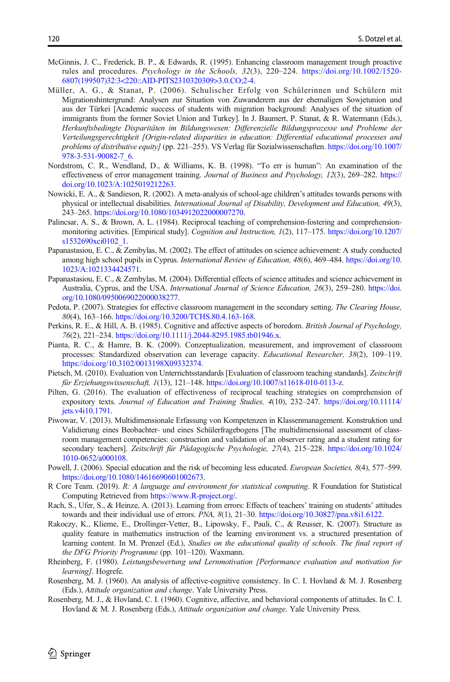- <span id="page-19-0"></span>McGinnis, J. C., Frederick, B. P., & Edwards, R. (1995). Enhancing classroom management trough proactive rules and procedures. Psychology in the Schools, 32(3), 220–224. [https://doi.org/10.1002/1520-](https://doi.org/10.1002/1520-6807(199507)32:3<220::AID-PITS2310320309>3.0.CO;2-4) [6807\(199507\)32:3<220::AID-PITS2310320309>3.0.CO;2-4.](https://doi.org/10.1002/1520-6807(199507)32:3<220::AID-PITS2310320309>3.0.CO;2-4)
- Müller, A. G., & Stanat, P. (2006). Schulischer Erfolg von Schülerinnen und Schülern mit Migrationshintergrund: Analysen zur Situation von Zuwanderern aus der ehemaligen Sowjetunion und aus der Türkei [Academic success of students with migration background: Analyses of the situation of immigrants from the former Soviet Union and Turkey]. In J. Baumert, P. Stanat, & R. Watermann (Eds.), Herkunftsbedingte Disparitäten im Bildungswesen: Differenzielle Bildungsprozesse und Probleme der Verteilungsgerechtigkeit [Origin-related disparities in education: Differential educational processes and problems of distributive equity] (pp. 221–255). VS Verlag für Sozialwissenschaften. [https://doi.org/10.1007/](https://doi.org/10.1007/978-3-531-90082-7_6) [978-3-531-90082-7\\_6.](https://doi.org/10.1007/978-3-531-90082-7_6)
- Nordstrom, C. R., Wendland, D., & Williams, K. B. (1998). "To err is human": An examination of the effectiveness of error management training. Journal of Business and Psychology, 12(3), 269–282. [https://](https://doi.org/10.1023/A:1025019212263) [doi.org/10.1023/A:1025019212263.](https://doi.org/10.1023/A:1025019212263)
- Nowicki, E. A., & Sandieson, R. (2002). A meta-analysis of school-age children's attitudes towards persons with physical or intellectual disabilities. International Journal of Disability, Development and Education, 49(3), 243–265. [https://doi.org/10.1080/1034912022000007270.](https://doi.org/10.1080/1034912022000007270)
- Palincsar, A. S., & Brown, A. L. (1984). Reciprocal teaching of comprehension-fostering and comprehensionmonitoring activities. [Empirical study]. Cognition and Instruction, 1(2), 117–175. [https://doi.org/10.1207/](https://doi.org/10.1207/s1532690xci0102_1) [s1532690xci0102\\_1](https://doi.org/10.1207/s1532690xci0102_1).
- Papanastasiou, E. C., & Zembylas, M. (2002). The effect of attitudes on science achievement: A study conducted among high school pupils in Cyprus. International Review of Education, 48(6), 469–484. [https://doi.org/10.](https://doi.org/10.1023/A:1021334424571) [1023/A:1021334424571](https://doi.org/10.1023/A:1021334424571).
- Papanastasiou, E. C., & Zembylas, M. (2004). Differential effects of science attitudes and science achievement in Australia, Cyprus, and the USA. International Journal of Science Education, 26(3), 259–280. [https://doi.](https://doi.org/10.1080/0950069022000038277) [org/10.1080/0950069022000038277.](https://doi.org/10.1080/0950069022000038277)
- Pedota, P. (2007). Strategies for effective classroom management in the secondary setting. The Clearing House, 80(4), 163–166. [https://doi.org/10.3200/TCHS.80.4.163-168.](https://doi.org/10.3200/TCHS.80.4.163-168)
- Perkins, R. E., & Hill, A. B. (1985). Cognitive and affective aspects of boredom. British Journal of Psychology, 76(2), 221–234. [https://doi.org/10.1111/j.2044-8295.1985.tb01946.x.](https://doi.org/10.1111/j.2044-8295.1985.tb01946.x)
- Pianta, R. C., & Hamre, B. K. (2009). Conzeptualization, measurement, and improvement of classroom processes: Standardized observation can leverage capacity. Educational Researcher, 38(2), 109-119. [https://doi.org/10.3102/0013198X09332374.](https://doi.org/10.3102/0013198X09332374)
- Pietsch, M. (2010). Evaluation von Unterrichtsstandards [Evaluation of classroom teaching standards]. Zeitschrift für Erziehungswissenschaft, 1(13), 121–148. [https://doi.org/10.1007/s11618-010-0113-z.](https://doi.org/10.1007/s11618-010-0113-z)
- Pilten, G. (2016). The evaluation of effectiveness of reciprocal teaching strategies on comprehension of expository texts. Journal of Education and Training Studies, 4(10), 232–247. [https://doi.org/10.11114/](https://doi.org/10.11114/jets.v4i10.1791) [jets.v4i10.1791](https://doi.org/10.11114/jets.v4i10.1791).
- Piwowar, V. (2013). Multidimensionale Erfassung von Kompetenzen in Klassenmanagement. Konstruktion und Validierung eines Beobachter- und eines Schülerfragebogens [The multidimensional assessment of classroom management competencies: construction and validation of an observer rating and a student rating for secondary teachers]. Zeitschrift für Pädagogische Psychologie, 27(4), 215–228. [https://doi.org/10.1024/](https://doi.org/10.1024/1010-0652/a000108) [1010-0652/a000108.](https://doi.org/10.1024/1010-0652/a000108)
- Powell, J. (2006). Special education and the risk of becoming less educated. *European Societies*, 8(4), 577–599. [https://doi.org/10.1080/14616690601002673.](https://doi.org/10.1080/14616690601002673)
- R Core Team. (2019). R: A language and environment for statistical computing. R Foundation for Statistical Computing Retrieved from [https://www.R-project.org/.](https://www.r-project.org/)
- Rach, S., Ufer, S., & Heinze, A. (2013). Learning from errors: Effects of teachers' training on students' attitudes towards and their individual use of errors. PNA, 8(1), 21–30. <https://doi.org/10.30827/pna.v8i1.6122>.
- Rakoczy, K., Klieme, E., Drollinger-Vetter, B., Lipowsky, F., Pauli, C., & Reusser, K. (2007). Structure as quality feature in mathematics instruction of the learning environment vs. a structured presentation of learning content. In M. Prenzel (Ed.), Studies on the educational quality of schools. The final report of the DFG Priority Programme (pp. 101–120). Waxmann.
- Rheinberg, F. (1980). Leistungsbewertung und Lernmotivation [Performance evaluation and motivation for learning]. Hogrefe.
- Rosenberg, M. J. (1960). An analysis of affective-cognitive consistency. In C. I. Hovland & M. J. Rosenberg (Eds.), Attitude organization and change. Yale University Press.
- Rosenberg, M. J., & Hovland, C. I. (1960). Cognitive, affective, and behavioral components of attitudes. In C. I. Hovland & M. J. Rosenberg (Eds.), *Attitude organization and change*. Yale University Press.